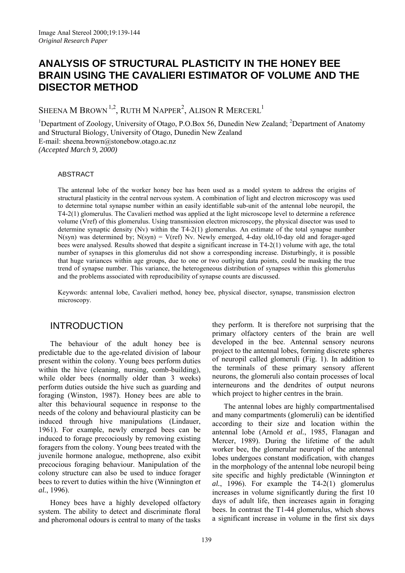# **ANALYSIS OF STRUCTURAL PLASTICITY IN THE HONEY BEE BRAIN USING THE CAVALIERI ESTIMATOR OF VOLUME AND THE DISECTOR METHOD**

SHEENA M BROWN  $^{1,2}$ , RUTH M NAPPER<sup>2</sup>, ALISON R MERCERL  $^{\mathrm{1}}$ 

<sup>1</sup>Department of Zoology, University of Otago, P.O.Box 56, Dunedin New Zealand; <sup>2</sup>Department of Anatomy and Structural Biology, University of Otago, Dunedin New Zealand E-mail: sheena.brown@stonebow.otago.ac.nz *(Accepted March 9, 2000)*

#### ABSTRACT

The antennal lobe of the worker honey bee has been used as a model system to address the origins of structural plasticity in the central nervous system. A combination of light and electron microscopy was used to determine total synapse number within an easily identifiable sub-unit of the antennal lobe neuropil, the T4-2(1) glomerulus. The Cavalieri method was applied at the light microscope level to determine a reference volume (Vref) of this glomerulus. Using transmission electron microscopy, the physical disector was used to determine synaptic density  $(Nv)$  within the T4-2(1) glomerulus. An estimate of the total synapse number  $N(syn)$  was determined by;  $N(syn) = V(ref)$  Nv. Newly emerged, 4-day old, 10-day old and forager-aged bees were analysed. Results showed that despite a significant increase in T4-2(1) volume with age, the total number of synapses in this glomerulus did not show a corresponding increase. Disturbingly, it is possible that huge variances within age groups, due to one or two outlying data points, could be masking the true trend of synapse number. This variance, the heterogeneous distribution of synapses within this glomerulus and the problems associated with reproducibility of synapse counts are discussed.

Keywords: antennal lobe, Cavalieri method, honey bee, physical disector, synapse, transmission electron microscopy.

# INTRODUCTION

The behaviour of the adult honey bee is predictable due to the age-related division of labour present within the colony. Young bees perform duties within the hive (cleaning, nursing, comb-building), while older bees (normally older than 3 weeks) perform duties outside the hive such as guarding and foraging (Winston, 1987). Honey bees are able to alter this behavioural sequence in response to the needs of the colony and behavioural plasticity can be induced through hive manipulations (Lindauer, 1961). For example, newly emerged bees can be induced to forage precociously by removing existing foragers from the colony. Young bees treated with the juvenile hormone analogue, methoprene, also exibit precocious foraging behaviour. Manipulation of the colony structure can also be used to induce forager bees to revert to duties within the hive (Winnington *et al.*, 1996).

Honey bees have a highly developed olfactory system. The ability to detect and discriminate floral and pheromonal odours is central to many of the tasks they perform. It is therefore not surprising that the primary olfactory centers of the brain are well developed in the bee. Antennal sensory neurons project to the antennal lobes, forming discrete spheres of neuropil called glomeruli (Fig. 1). In addition to the terminals of these primary sensory afferent neurons, the glomeruli also contain processes of local interneurons and the dendrites of output neurons which project to higher centres in the brain.

The antennal lobes are highly compartmentalised and many compartments (glomeruli) can be identified according to their size and location within the antennal lobe (Arnold *et al.*, 1985, Flanagan and Mercer, 1989). During the lifetime of the adult worker bee, the glomerular neuropil of the antennal lobes undergoes constant modification, with changes in the morphology of the antennal lobe neuropil being site specific and highly predictable (Winnington *et al.*, 1996). For example the T4-2(1) glomerulus increases in volume significantly during the first 10 days of adult life, then increases again in foraging bees. In contrast the T1-44 glomerulus, which shows a significant increase in volume in the first six days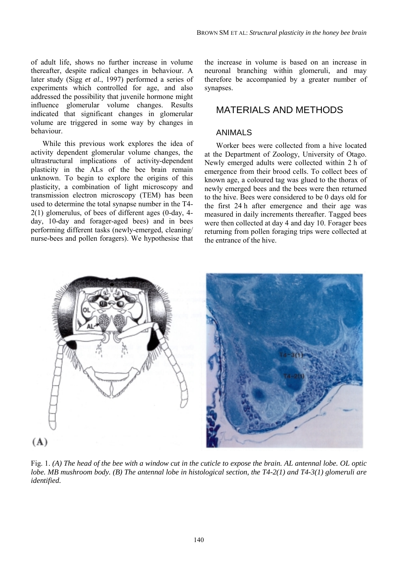of adult life, shows no further increase in volume thereafter, despite radical changes in behaviour. A later study (Sigg *et al.*, 1997) performed a series of experiments which controlled for age, and also addressed the possibility that juvenile hormone might influence glomerular volume changes. Results indicated that significant changes in glomerular volume are triggered in some way by changes in behaviour.

While this previous work explores the idea of activity dependent glomerular volume changes, the ultrastructural implications of activity-dependent plasticity in the ALs of the bee brain remain unknown. To begin to explore the origins of this plasticity, a combination of light microscopy and transmission electron microscopy (TEM) has been used to determine the total synapse number in the T4- 2(1) glomerulus, of bees of different ages (0-day, 4 day, 10-day and forager-aged bees) and in bees performing different tasks (newly-emerged, cleaning/ nurse-bees and pollen foragers). We hypothesise that

the increase in volume is based on an increase in neuronal branching within glomeruli, and may therefore be accompanied by a greater number of synapses.

# MATERIALS AND METHODS

### ANIMALS

Worker bees were collected from a hive located at the Department of Zoology, University of Otago. Newly emerged adults were collected within 2 h of emergence from their brood cells. To collect bees of known age, a coloured tag was glued to the thorax of newly emerged bees and the bees were then returned to the hive. Bees were considered to be 0 days old for the first 24 h after emergence and their age was measured in daily increments thereafter. Tagged bees were then collected at day 4 and day 10. Forager bees returning from pollen foraging trips were collected at the entrance of the hive.



Fig. 1. *(A) The head of the bee with a window cut in the cuticle to expose the brain. AL antennal lobe. OL optic lobe. MB mushroom body. (B) The antennal lobe in histological section, the T4-2(1) and T4-3(1) glomeruli are identified.*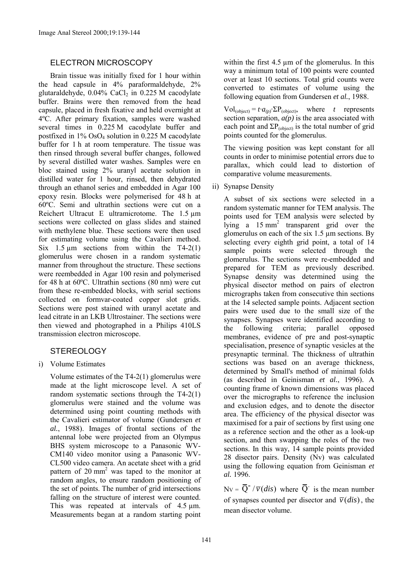### ELECTRON MICROSCOPY

Brain tissue was initially fixed for 1 hour within the head capsule in 4% paraformaldehyde, 2% glutaraldehyde,  $0.04\%$  CaCl<sub>2</sub> in 0.225 M cacodylate buffer. Brains were then removed from the head capsule, placed in fresh fixative and held overnight at 4ºC. After primary fixation, samples were washed several times in 0.225 M cacodylate buffer and postfixed in 1% OsO4 solution in 0.225 M cacodylate buffer for 1 h at room temperature. The tissue was then rinsed through several buffer changes, followed by several distilled water washes. Samples were en bloc stained using 2% uranyl acetate solution in distilled water for 1 hour, rinsed, then dehydrated through an ethanol series and embedded in Agar 100 epoxy resin. Blocks were polymerised for 48 h at 60ºC. Semi and ultrathin sections were cut on a Reichert Ultracut E ultramicrotome. The 1.5 µm sections were collected on glass slides and stained with methylene blue. These sections were then used for estimating volume using the Cavalieri method. Six  $1.5 \text{ µm}$  sections from within the T4-2(1) glomerulus were chosen in a random systematic manner from throughout the structure. These sections were reembedded in Agar 100 resin and polymerised for 48 h at 60ºC. Ultrathin sections (80 nm) were cut from these re-embedded blocks, with serial sections collected on formvar-coated copper slot grids. Sections were post stained with uranyl acetate and lead citrate in an LKB Ultrostainer. The sections were then viewed and photographed in a Philips 410LS transmission electron microscope.

## **STEREOLOGY**

i) Volume Estimates

Volume estimates of the T4-2(1) glomerulus were made at the light microscope level. A set of random systematic sections through the T4-2(1) glomerulus were stained and the volume was determined using point counting methods with the Cavalieri estimator of volume (Gundersen *et al.*, 1988). Images of frontal sections of the antennal lobe were projected from an Olympus BHS system microscope to a Panasonic WV-CM140 video monitor using a Panasonic WV-CL500 video camera. An acetate sheet with a grid pattern of  $20 \text{ mm}^2$  was taped to the monitor at random angles, to ensure random positioning of the set of points. The number of grid intersections falling on the structure of interest were counted. This was repeated at intervals of 4.5  $\mu$ m. Measurements began at a random starting point within the first  $4.5 \mu m$  of the glomerulus. In this way a minimum total of 100 points were counted over at least 10 sections. Total grid counts were converted to estimates of volume using the following equation from Gundersen *et al.*, 1988.

 $Vol_{(object)} = t \cdot a_{(p)} \cdot \Sigma P_{(object)}$ , where *t* represents section separation,  $a(p)$  is the area associated with each point and  $\Sigma P_{(object)}$  is the total number of grid points counted for the glomerulus.

The viewing position was kept constant for all counts in order to minimise potential errors due to parallax, which could lead to distortion of comparative volume measurements.

ii) Synapse Density

A subset of six sections were selected in a random systematic manner for TEM analysis. The points used for TEM analysis were selected by lying a  $15 \text{ mm}^2$  transparent grid over the glomerulus on each of the six 1.5 µm sections. By selecting every eighth grid point, a total of 14 sample points were selected through the glomerulus. The sections were re-embedded and prepared for TEM as previously described. Synapse density was determined using the physical disector method on pairs of electron micrographs taken from consecutive thin sections at the 14 selected sample points. Adjacent section pairs were used due to the small size of the synapses. Synapses were identified according to the following criteria; parallel opposed membranes, evidence of pre and post-synaptic specialisation, presence of synaptic vesicles at the presynaptic terminal. The thickness of ultrathin sections was based on an average thickness, determined by Small's method of minimal folds (as described in Geinisman *et al.*, 1996). A counting frame of known dimensions was placed over the micrographs to reference the inclusion and exclusion edges, and to denote the disector area. The efficiency of the physical disector was maximised for a pair of sections by first using one as a reference section and the other as a look-up section, and then swapping the roles of the two sections. In this way, 14 sample points provided 28 disector pairs. Density (Nv) was calculated using the following equation from Geinisman *et al.* 1996.

 $Nv = \overline{Q}^{-}/\overline{v}(dis)$  where  $\overline{Q}^{-}$  is the mean number of synapses counted per disector and  $\overline{v}(dis)$ , the mean disector volume.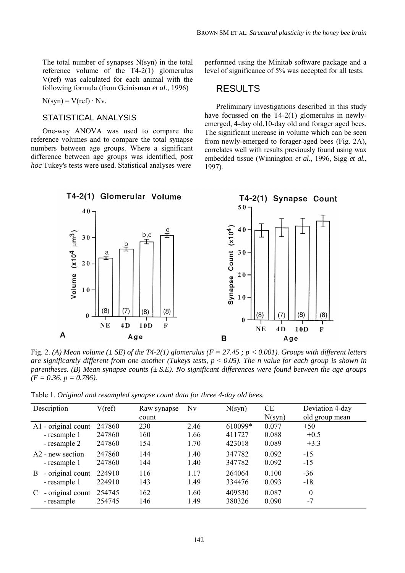The total number of synapses  $N(syn)$  in the total reference volume of the T4-2(1) glomerulus V(ref) was calculated for each animal with the following formula (from Geinisman *et al.*, 1996)

 $N(syn) = V(ref) \cdot Nv$ .

#### STATISTICAL ANALYSIS

One-way ANOVA was used to compare the reference volumes and to compare the total synapse numbers between age groups. Where a significant difference between age groups was identified, *post hoc* Tukey's tests were used. Statistical analyses were

performed using the Minitab software package and a level of significance of 5% was accepted for all tests.

### RESULTS

Preliminary investigations described in this study have focussed on the T4-2(1) glomerulus in newlyemerged, 4-day old,10-day old and forager aged bees. The significant increase in volume which can be seen from newly-emerged to forager-aged bees (Fig. 2A), correlates well with results previously found using wax embedded tissue (Winnington *et al.*, 1996, Sigg *et al.*, 1997).



Fig. 2. *(A) Mean volume (± SE) of the T4-2(1) glomerulus (F = 27.45 ; p < 0.001). Groups with different letters are significantly different from one another (Tukeys tests, p < 0.05). The n value for each group is shown in parentheses. (B) Mean synapse counts (± S.E). No significant differences were found between the age groups (F = 0.36, p = 0.786).*

Table 1. *Original and resampled synapse count data for three 4-day old bees.*

| Description                  | V(ref) | Raw synapse | Nv   | N(syn)  | <b>CE</b> | Deviation 4-day  |
|------------------------------|--------|-------------|------|---------|-----------|------------------|
|                              |        | count       |      |         | N(syn)    | old group mean   |
| $A1$ - original count        | 247860 | 230         | 2.46 | 610099* | 0.077     | $+50$            |
| - resample 1                 | 247860 | 160         | 1.66 | 411727  | 0.088     | $+0.5$           |
| - resample 2                 | 247860 | 154         | 1.70 | 423018  | 0.089     | $+3.3$           |
| A <sub>2</sub> - new section | 247860 | 144         | 1.40 | 347782  | 0.092     | $-15$            |
| - resample 1                 | 247860 | 144         | 1.40 | 347782  | 0.092     | $-15$            |
| - original count<br>B.       | 224910 | 116         | 1.17 | 264064  | 0.100     | $-36$            |
| - resample 1                 | 224910 | 143         | 1.49 | 334476  | 0.093     | $-18$            |
| - original count<br>C        | 254745 | 162         | 1.60 | 409530  | 0.087     | $\boldsymbol{0}$ |
| - resample                   | 254745 | 146         | 1.49 | 380326  | 0.090     | $-7$             |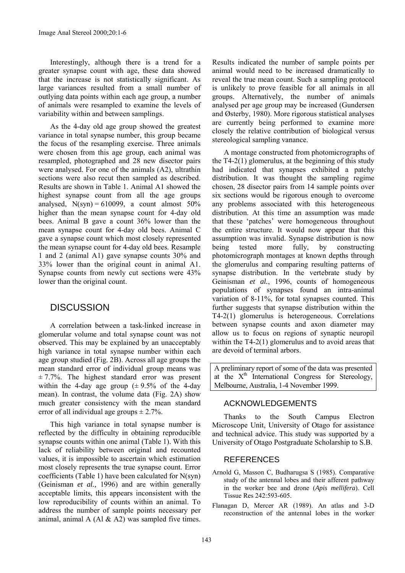Interestingly, although there is a trend for a greater synapse count with age, these data showed that the increase is not statistically significant. As large variances resulted from a small number of outlying data points within each age group, a number of animals were resampled to examine the levels of variability within and between samplings.

As the 4-day old age group showed the greatest variance in total synapse number, this group became the focus of the resampling exercise. Three animals were chosen from this age group, each animal was resampled, photographed and 28 new disector pairs were analysed. For one of the animals (A2), ultrathin sections were also recut then sampled as described. Results are shown in Table 1. Animal A1 showed the highest synapse count from all the age groups analysed,  $N(syn) = 610099$ , a count almost  $50\%$ higher than the mean synapse count for 4-day old bees. Animal B gave a count 36% lower than the mean synapse count for 4-day old bees. Animal C gave a synapse count which most closely represented the mean synapse count for 4-day old bees. Resample 1 and 2 (animal A1) gave synapse counts 30% and 33% lower than the original count in animal A1. Synapse counts from newly cut sections were 43% lower than the original count.

### **DISCUSSION**

A correlation between a task-linked increase in glomerular volume and total synapse count was not observed. This may be explained by an unacceptably high variance in total synapse number within each age group studied (Fig. 2B). Across all age groups the mean standard error of individual group means was  $\pm$  7.7%. The highest standard error was present within the 4-day age group  $(\pm 9.5\% \text{ of the } 4\text{-day})$ mean). In contrast, the volume data (Fig. 2A) show much greater consistency with the mean standard error of all individual age groups  $\pm 2.7\%$ .

This high variance in total synapse number is reflected by the difficulty in obtaining reproducible synapse counts within one animal (Table 1). With this lack of reliability between original and recounted values, it is impossible to ascertain which estimation most closely represents the true synapse count. Error coefficients (Table 1) have been calculated for N(syn) (Geinisman *et al.,* 1996) and are within generally acceptable limits, this appears inconsistent with the low reproducibility of counts within an animal. To address the number of sample points necessary per animal, animal A (Al  $&$  A2) was sampled five times. Results indicated the number of sample points per animal would need to be increased dramatically to reveal the true mean count. Such a sampling protocol is unlikely to prove feasible for all animals in all groups. Alternatively, the number of animals analysed per age group may be increased (Gundersen and Østerby, 1980). More rigorous statistical analyses are currently being performed to examine more closely the relative contribution of biological versus stereological sampling vanance.

A montage constructed from photomicrographs of the  $T4-2(1)$  glomerulus, at the beginning of this study had indicated that synapses exhibited a patchy distribution. It was thought the sampling regime chosen, 28 disector pairs from 14 sample points over six sections would be rigorous enough to overcome any problems associated with this heterogeneous distribution. At this time an assumption was made that these 'patches' were homogeneous throughout the entire structure. It would now appear that this assumption was invalid. Synapse distribution is now being tested more fully, by constructing photomicrograph montages at known depths through the glomerulus and comparing resulting patterns of synapse distribution. In the vertebrate study by Geinisman *et al.*, 1996, counts of homogeneous populations of synapses found an intra-animal variation of 8-11%, for total synapses counted. This further suggests that synapse distribution within the T4-2(1) glomerulus is heterogeneous. Correlations between synapse counts and axon diameter may allow us to focus on regions of synaptic neuropil within the T4-2(1) glomerulus and to avoid areas that are devoid of terminal arbors.

A preliminary report of some of the data was presented at the  $X<sup>th</sup>$  International Congress for Stereology, Melbourne, Australia, 1-4 November 1999.

### ACKNOWLEDGEMENTS

Thanks to the South Campus Electron Microscope Unit, University of Otago for assistance and technical advice. This study was supported by a University of Otago Postgraduate Scholarship to S.B.

#### **REFERENCES**

- Arnold G, Masson C, Budharugsa S (1985). Comparative study of the antennal lobes and their afferent pathway in the worker bee and drone (*Apis mellifera*). Cell Tissue Res 242:593-605.
- Flanagan D, Mercer AR (1989). An atlas and 3-D reconstruction of the antennal lobes in the worker